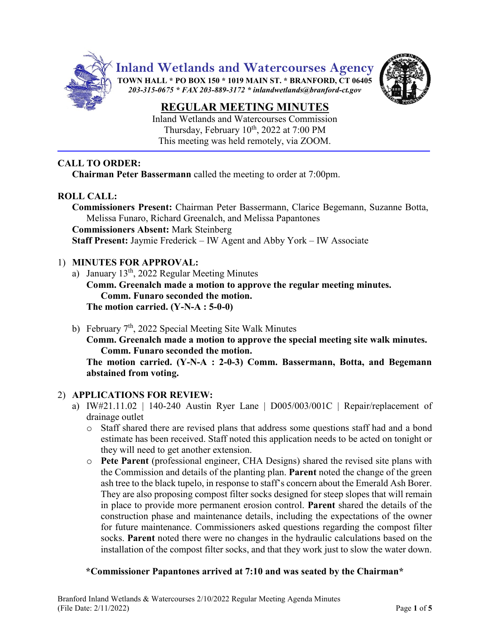

**Inland Wetlands and Watercourses Agency**

**TOWN HALL \* PO BOX 150 \* 1019 MAIN ST. \* BRANFORD, CT 06405** *203-315-0675 \* FAX 203-889-3172 \* inlandwetlands@branford-ct.gov* 



# **REGULAR MEETING MINUTES**

Inland Wetlands and Watercourses Commission Thursday, February  $10^{th}$ , 2022 at 7:00 PM This meeting was held remotely, via ZOOM.

# **CALL TO ORDER:**

**Chairman Peter Bassermann** called the meeting to order at 7:00pm.

# **ROLL CALL:**

**Commissioners Present:** Chairman Peter Bassermann, Clarice Begemann, Suzanne Botta, Melissa Funaro, Richard Greenalch, and Melissa Papantones **Commissioners Absent:** Mark Steinberg **Staff Present:** Jaymie Frederick – IW Agent and Abby York – IW Associate

# 1) **MINUTES FOR APPROVAL:**

a) January 13<sup>th</sup>, 2022 Regular Meeting Minutes

**Comm. Greenalch made a motion to approve the regular meeting minutes. Comm. Funaro seconded the motion. The motion carried. (Y-N-A : 5-0-0)**

b) February 7<sup>th</sup>, 2022 Special Meeting Site Walk Minutes

**Comm. Greenalch made a motion to approve the special meeting site walk minutes. Comm. Funaro seconded the motion.**

**The motion carried. (Y-N-A : 2-0-3) Comm. Bassermann, Botta, and Begemann abstained from voting.**

### 2) **APPLICATIONS FOR REVIEW:**

- a) IW#21.11.02 | 140-240 Austin Ryer Lane |  $D005/003/001C$  | Repair/replacement of drainage outlet
	- o Staff shared there are revised plans that address some questions staff had and a bond estimate has been received. Staff noted this application needs to be acted on tonight or they will need to get another extension.
	- o **Pete Parent** (professional engineer, CHA Designs) shared the revised site plans with the Commission and details of the planting plan. **Parent** noted the change of the green ash tree to the black tupelo, in response to staff's concern about the Emerald Ash Borer. They are also proposing compost filter socks designed for steep slopes that will remain in place to provide more permanent erosion control. **Parent** shared the details of the construction phase and maintenance details, including the expectations of the owner for future maintenance. Commissioners asked questions regarding the compost filter socks. **Parent** noted there were no changes in the hydraulic calculations based on the installation of the compost filter socks, and that they work just to slow the water down.

### **\*Commissioner Papantones arrived at 7:10 and was seated by the Chairman\***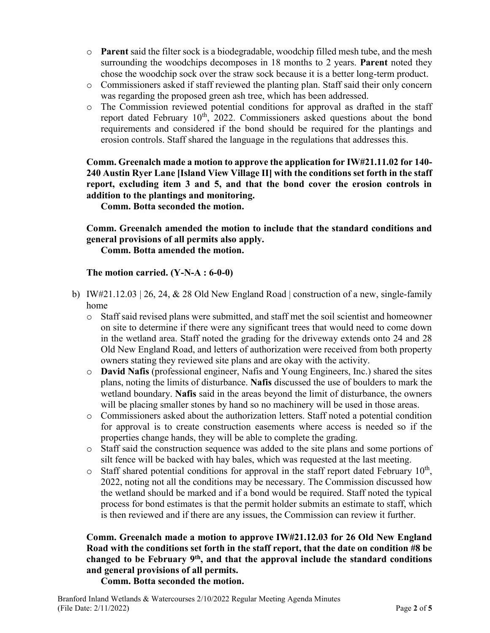- o **Parent** said the filter sock is a biodegradable, woodchip filled mesh tube, and the mesh surrounding the woodchips decomposes in 18 months to 2 years. **Parent** noted they chose the woodchip sock over the straw sock because it is a better long-term product.
- o Commissioners asked if staff reviewed the planting plan. Staff said their only concern was regarding the proposed green ash tree, which has been addressed.
- o The Commission reviewed potential conditions for approval as drafted in the staff report dated February 10<sup>th</sup>, 2022. Commissioners asked questions about the bond requirements and considered if the bond should be required for the plantings and erosion controls. Staff shared the language in the regulations that addresses this.

**Comm. Greenalch made a motion to approve the application for IW#21.11.02 for 140- 240 Austin Ryer Lane [Island View Village II] with the conditions set forth in the staff report, excluding item 3 and 5, and that the bond cover the erosion controls in addition to the plantings and monitoring.**

**Comm. Botta seconded the motion.**

**Comm. Greenalch amended the motion to include that the standard conditions and general provisions of all permits also apply.**

**Comm. Botta amended the motion.**

#### **The motion carried. (Y-N-A : 6-0-0)**

- b) IW#21.12.03 | 26, 24, & 28 Old New England Road | construction of a new, single-family home
	- o Staff said revised plans were submitted, and staff met the soil scientist and homeowner on site to determine if there were any significant trees that would need to come down in the wetland area. Staff noted the grading for the driveway extends onto 24 and 28 Old New England Road, and letters of authorization were received from both property owners stating they reviewed site plans and are okay with the activity.
	- o **David Nafis** (professional engineer, Nafis and Young Engineers, Inc.) shared the sites plans, noting the limits of disturbance. **Nafis** discussed the use of boulders to mark the wetland boundary. **Nafis** said in the areas beyond the limit of disturbance, the owners will be placing smaller stones by hand so no machinery will be used in those areas.
	- o Commissioners asked about the authorization letters. Staff noted a potential condition for approval is to create construction easements where access is needed so if the properties change hands, they will be able to complete the grading.
	- o Staff said the construction sequence was added to the site plans and some portions of silt fence will be backed with hay bales, which was requested at the last meeting.
	- $\circ$  Staff shared potential conditions for approval in the staff report dated February 10<sup>th</sup>, 2022, noting not all the conditions may be necessary. The Commission discussed how the wetland should be marked and if a bond would be required. Staff noted the typical process for bond estimates is that the permit holder submits an estimate to staff, which is then reviewed and if there are any issues, the Commission can review it further.

# **Comm. Greenalch made a motion to approve IW#21.12.03 for 26 Old New England Road with the conditions set forth in the staff report, that the date on condition #8 be changed to be February 9th, and that the approval include the standard conditions and general provisions of all permits.**

**Comm. Botta seconded the motion.**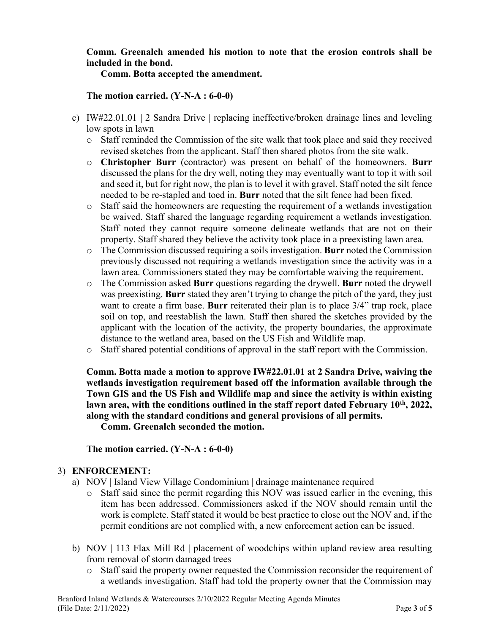### **Comm. Greenalch amended his motion to note that the erosion controls shall be included in the bond.**

**Comm. Botta accepted the amendment.**

#### **The motion carried. (Y-N-A : 6-0-0)**

- c) IW#22.01.01 | 2 Sandra Drive | replacing ineffective/broken drainage lines and leveling low spots in lawn
	- o Staff reminded the Commission of the site walk that took place and said they received revised sketches from the applicant. Staff then shared photos from the site walk.
	- o **Christopher Burr** (contractor) was present on behalf of the homeowners. **Burr** discussed the plans for the dry well, noting they may eventually want to top it with soil and seed it, but for right now, the plan is to level it with gravel. Staff noted the silt fence needed to be re-stapled and toed in. **Burr** noted that the silt fence had been fixed.
	- o Staff said the homeowners are requesting the requirement of a wetlands investigation be waived. Staff shared the language regarding requirement a wetlands investigation. Staff noted they cannot require someone delineate wetlands that are not on their property. Staff shared they believe the activity took place in a preexisting lawn area.
	- o The Commission discussed requiring a soils investigation. **Burr** noted the Commission previously discussed not requiring a wetlands investigation since the activity was in a lawn area. Commissioners stated they may be comfortable waiving the requirement.
	- o The Commission asked **Burr** questions regarding the drywell. **Burr** noted the drywell was preexisting. **Burr** stated they aren't trying to change the pitch of the yard, they just want to create a firm base. **Burr** reiterated their plan is to place 3/4" trap rock, place soil on top, and reestablish the lawn. Staff then shared the sketches provided by the applicant with the location of the activity, the property boundaries, the approximate distance to the wetland area, based on the US Fish and Wildlife map.
	- o Staff shared potential conditions of approval in the staff report with the Commission.

**Comm. Botta made a motion to approve IW#22.01.01 at 2 Sandra Drive, waiving the wetlands investigation requirement based off the information available through the Town GIS and the US Fish and Wildlife map and since the activity is within existing lawn area, with the conditions outlined in the staff report dated February 10th , 2022, along with the standard conditions and general provisions of all permits.**

**Comm. Greenalch seconded the motion.**

**The motion carried. (Y-N-A : 6-0-0)**

### 3) **ENFORCEMENT:**

- a) NOV | Island View Village Condominium | drainage maintenance required
	- o Staff said since the permit regarding this NOV was issued earlier in the evening, this item has been addressed. Commissioners asked if the NOV should remain until the work is complete. Staff stated it would be best practice to close out the NOV and, if the permit conditions are not complied with, a new enforcement action can be issued.
- b) NOV | 113 Flax Mill Rd | placement of woodchips within upland review area resulting from removal of storm damaged trees
	- o Staff said the property owner requested the Commission reconsider the requirement of a wetlands investigation. Staff had told the property owner that the Commission may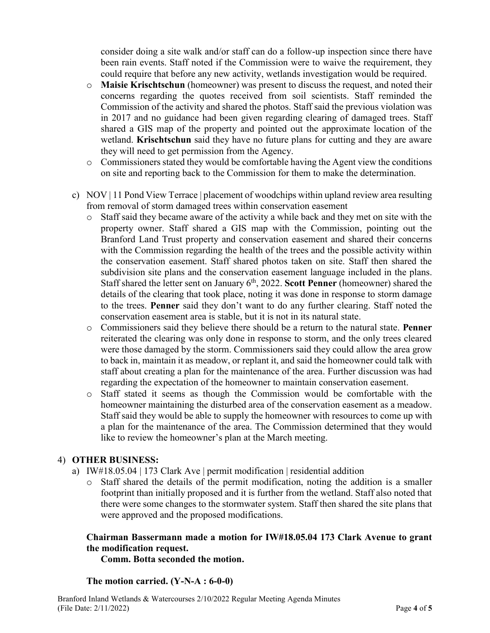consider doing a site walk and/or staff can do a follow-up inspection since there have been rain events. Staff noted if the Commission were to waive the requirement, they could require that before any new activity, wetlands investigation would be required.

- o **Maisie Krischtschun** (homeowner) was present to discuss the request, and noted their concerns regarding the quotes received from soil scientists. Staff reminded the Commission of the activity and shared the photos. Staff said the previous violation was in 2017 and no guidance had been given regarding clearing of damaged trees. Staff shared a GIS map of the property and pointed out the approximate location of the wetland. **Krischtschun** said they have no future plans for cutting and they are aware they will need to get permission from the Agency.
- o Commissioners stated they would be comfortable having the Agent view the conditions on site and reporting back to the Commission for them to make the determination.
- c) NOV | 11 Pond View Terrace | placement of woodchips within upland review area resulting from removal of storm damaged trees within conservation easement
	- o Staff said they became aware of the activity a while back and they met on site with the property owner. Staff shared a GIS map with the Commission, pointing out the Branford Land Trust property and conservation easement and shared their concerns with the Commission regarding the health of the trees and the possible activity within the conservation easement. Staff shared photos taken on site. Staff then shared the subdivision site plans and the conservation easement language included in the plans. Staff shared the letter sent on January 6<sup>th</sup>, 2022. **Scott Penner** (homeowner) shared the details of the clearing that took place, noting it was done in response to storm damage to the trees. **Penner** said they don't want to do any further clearing. Staff noted the conservation easement area is stable, but it is not in its natural state.
	- o Commissioners said they believe there should be a return to the natural state. **Penner** reiterated the clearing was only done in response to storm, and the only trees cleared were those damaged by the storm. Commissioners said they could allow the area grow to back in, maintain it as meadow, or replant it, and said the homeowner could talk with staff about creating a plan for the maintenance of the area. Further discussion was had regarding the expectation of the homeowner to maintain conservation easement.
	- o Staff stated it seems as though the Commission would be comfortable with the homeowner maintaining the disturbed area of the conservation easement as a meadow. Staff said they would be able to supply the homeowner with resources to come up with a plan for the maintenance of the area. The Commission determined that they would like to review the homeowner's plan at the March meeting.

### 4) **OTHER BUSINESS:**

- a) IW#18.05.04 | 173 Clark Ave | permit modification | residential addition
	- o Staff shared the details of the permit modification, noting the addition is a smaller footprint than initially proposed and it is further from the wetland. Staff also noted that there were some changes to the stormwater system. Staff then shared the site plans that were approved and the proposed modifications.

# **Chairman Bassermann made a motion for IW#18.05.04 173 Clark Avenue to grant the modification request.**

**Comm. Botta seconded the motion.**

#### **The motion carried. (Y-N-A : 6-0-0)**